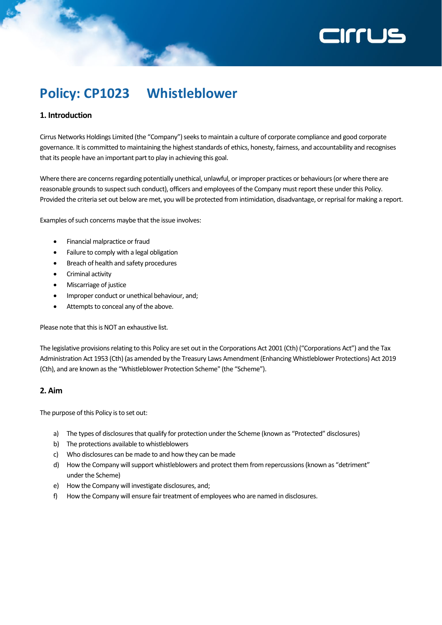# **ZILLIS**

# **Policy: CP1023 Whistleblower**

# **1. Introduction**

Cirrus Networks Holdings Limited (the "Company") seeks to maintain a culture of corporate compliance and good corporate governance. It is committed to maintaining the highest standards of ethics, honesty, fairness, and accountability and recognises that its people have an important part to play in achieving this goal.

Where there are concerns regarding potentially unethical, unlawful, or improper practices or behaviours (or where there are reasonable grounds to suspect such conduct), officers and employees of the Company must report these under this Policy. Provided the criteria set out below are met, you will be protected from intimidation, disadvantage, or reprisal for making a report.

Examples of such concerns maybe that the issue involves:

- Financial malpractice or fraud
- Failure to comply with a legal obligation
- Breach of health and safety procedures
- Criminal activity
- Miscarriage of justice
- Improper conduct or unethical behaviour, and;
- Attempts to conceal any of the above.

Please note that this is NOT an exhaustive list.

The legislative provisions relating to this Policy are set out in the Corporations Act 2001 (Cth) ("Corporations Act") and the Tax Administration Act 1953 (Cth) (as amended by the Treasury Laws Amendment (Enhancing Whistleblower Protections) Act 2019 (Cth), and are known as the "Whistleblower Protection Scheme" (the "Scheme").

# **2. Aim**

The purpose of this Policy is to set out:

- a) The types of disclosures that qualify for protection under the Scheme (known as "Protected" disclosures)
- b) The protections available to whistleblowers
- c) Who disclosures can be made to and how they can be made
- d) How the Company will support whistleblowers and protect them from repercussions (known as "detriment" under the Scheme)
- e) How the Company will investigate disclosures, and;
- f) How the Company will ensure fair treatment of employees who are named in disclosures.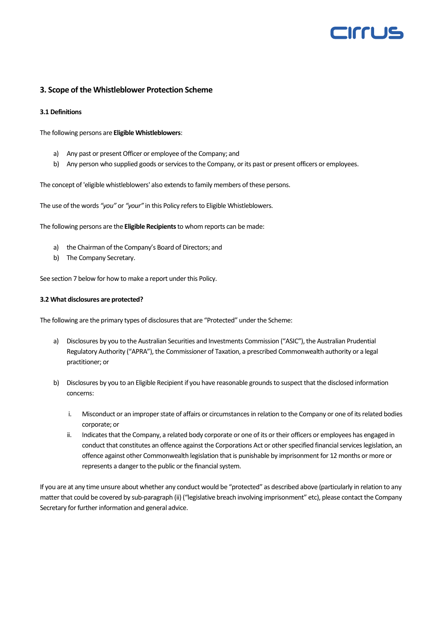

# **3. Scope of the Whistleblower Protection Scheme**

#### **3.1 Definitions**

The following persons are **Eligible Whistleblowers**:

- a) Any past or present Officer or employee of the Company; and
- b) Any person who supplied goods or services to the Company, or its past or present officers or employees.

The concept of 'eligible whistleblowers' also extends to family members of these persons.

The use of the words *"you"* or *"your"* in this Policy refers to Eligible Whistleblowers.

The following persons are the **Eligible Recipients**to whom reports can be made:

- a) the Chairman of the Company's Board of Directors; and
- b) The Company Secretary.

See section 7 below for how to make a report under this Policy.

#### **3.2 What disclosures are protected?**

The following are the primary types of disclosures that are "Protected" under the Scheme:

- a) Disclosures by you to the Australian Securities and Investments Commission ("ASIC"), the Australian Prudential Regulatory Authority ("APRA"), the Commissioner of Taxation, a prescribed Commonwealth authority or a legal practitioner; or
- b) Disclosures by you to an Eligible Recipient if you have reasonable grounds to suspect that the disclosed information concerns:
	- i. Misconduct or an improper state of affairs or circumstances in relation to the Company or one of its related bodies corporate; or
	- ii. Indicates that the Company, a related body corporate or one of its or their officers or employees has engaged in conduct that constitutes an offence against the Corporations Act or other specified financial services legislation, an offence against other Commonwealth legislation that is punishable by imprisonment for 12 months or more or represents a danger to the public or the financial system.

If you are at any time unsure about whether any conduct would be "protected" as described above (particularly in relation to any matter that could be covered by sub-paragraph (ii) ("legislative breach involving imprisonment" etc), please contact the Company Secretary for further information and general advice.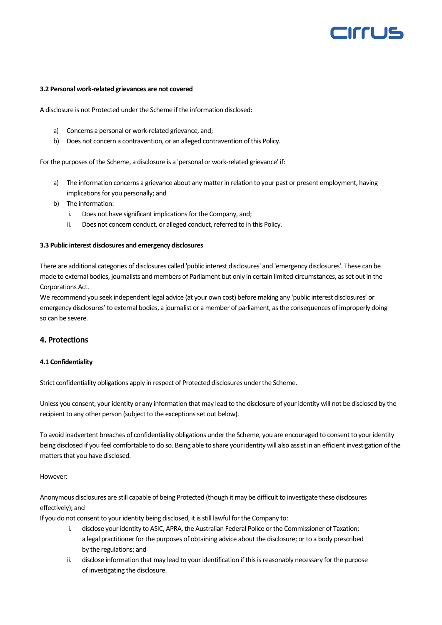# **EIFFLJS**

#### **3.2 Personal work-related grievances are not covered**

A disclosure is not Protected under the Scheme if the information disclosed:

- a) Concerns a personal or work-related grievance, and;
- b) Does not concern a contravention, or an alleged contravention of this Policy.

For the purposes of the Scheme, a disclosure is a 'personal or work-related grievance' if:

- a) The information concerns a grievance about any matter in relation to your past or present employment, having implications for you personally; and
- b) The information:
	- i. Does not have significant implications for the Company, and;
	- ii. Does not concern conduct, or alleged conduct, referred to in this Policy.

#### **3.3 Public interest disclosures and emergency disclosures**

There are additional categories of disclosures called 'public interest disclosures' and 'emergency disclosures'. These can be made to external bodies, journalists and members of Parliament but only in certain limited circumstances, as set out in the Corporations Act.

We recommend you seek independent legal advice (at your own cost) before making any 'public interest disclosures' or emergency disclosures' to external bodies, a journalist or a member of parliament, as the consequences of improperly doing so can be severe.

### **4. Protections**

#### **4.1 Confidentiality**

Strict confidentiality obligations apply in respect of Protected disclosures under the Scheme.

Unless you consent, your identity or any information that may lead to the disclosure of your identity will not be disclosed by the recipient to any other person (subject to the exceptions set out below).

To avoid inadvertent breaches of confidentiality obligations under the Scheme, you are encouraged to consent to your identity being disclosed if you feel comfortable to do so. Being able to share your identity will also assist in an efficient investigation of the matters that you have disclosed.

#### However:

Anonymous disclosures are still capable of being Protected (though it may be difficult to investigate these disclosures effectively); and

If you do not consent to your identity being disclosed, it is still lawful for the Company to:

- i. disclose your identity to ASIC, APRA, the Australian Federal Police or the Commissioner of Taxation; a legal practitioner for the purposes of obtaining advice about the disclosure; or to a body prescribed by the regulations; and
- ii. disclose information that may lead to your identification if this is reasonably necessary for the purpose of investigating the disclosure.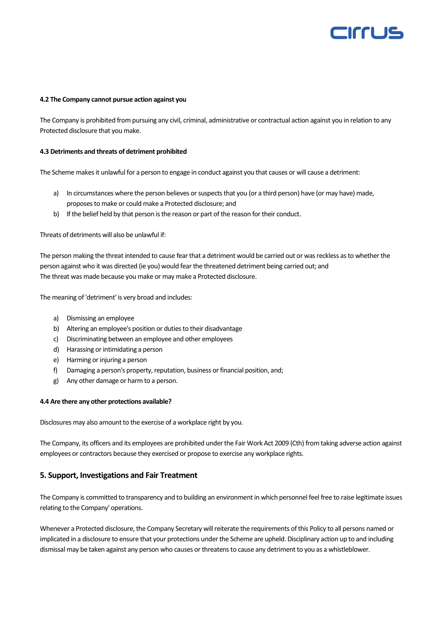# CIFFLIS

#### **4.2 The Company cannot pursue action against you**

The Company is prohibited from pursuing any civil, criminal, administrative or contractual action against you in relation to any Protected disclosure that you make.

#### **4.3 Detriments and threats of detriment prohibited**

The Scheme makes it unlawful for a person to engage in conduct against you that causes or will cause a detriment:

- a) In circumstances where the person believes or suspects that you (or a third person) have (or may have) made, proposes to make or could make a Protected disclosure; and
- b) If the belief held by that person is the reason or part of the reason for their conduct.

Threats of detriments will also be unlawful if:

The person making the threat intended to cause fear that a detriment would be carried out or was reckless as to whether the person against who it was directed (ie you) would fear the threatened detriment being carried out; and The threat was made because you make or may make a Protected disclosure.

The meaning of 'detriment' is very broad and includes:

- a) Dismissing an employee
- b) Altering an employee's position or duties to their disadvantage
- c) Discriminating between an employee and other employees
- d) Harassing or intimidating a person
- e) Harming or injuring a person
- f) Damaging a person's property, reputation, business or financial position, and;
- g) Any other damage or harm to a person.

#### **4.4 Are there any other protections available?**

Disclosures may also amount to the exercise of a workplace right by you.

The Company, its officers and its employees are prohibited under the Fair Work Act 2009 (Cth) from taking adverse action against employees or contractors because they exercised or propose to exercise any workplace rights.

## **5. Support, Investigations and Fair Treatment**

The Company is committed to transparency and to building an environment in which personnel feel free to raise legitimate issues relating to the Company' operations.

Whenever a Protected disclosure, the Company Secretary will reiterate the requirements of this Policy to all persons named or implicated in a disclosure to ensure that your protections under the Scheme are upheld. Disciplinary action up to and including dismissal may be taken against any person who causes or threatens to cause any detriment to you as a whistleblower.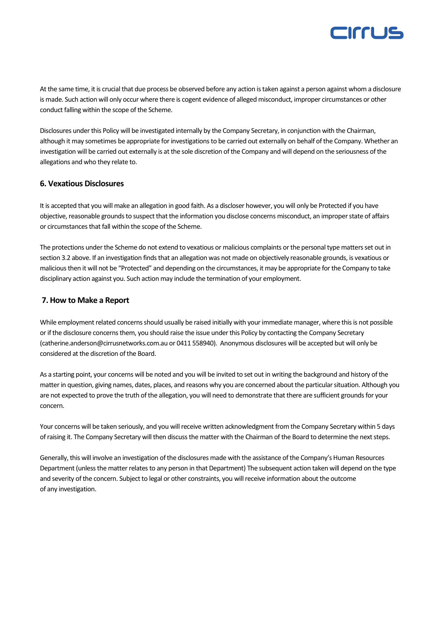

At the same time, it is crucial that due process be observed before any action is taken against a person against whom a disclosure is made. Such action will only occur where there is cogent evidence of alleged misconduct, improper circumstances or other conduct falling within the scope of the Scheme.

Disclosures under this Policy will be investigated internally by the Company Secretary, in conjunction with the Chairman, although it may sometimes be appropriate for investigations to be carried out externally on behalf of the Company. Whether an investigation will be carried out externally is at the sole discretion of the Company and will depend on the seriousness of the allegations and who they relate to.

## **6. Vexatious Disclosures**

It is accepted that you will make an allegation in good faith. As a discloser however, you will only be Protected if you have objective, reasonable grounds to suspect that the information you disclose concerns misconduct, an improper state of affairs or circumstances that fall within the scope of the Scheme.

The protections under the Scheme do not extend to vexatious or malicious complaints or the personal type matters set out in section 3.2 above. If an investigation finds that an allegation was not made on objectively reasonable grounds, is vexatious or malicious then it will not be "Protected" and depending on the circumstances, it may be appropriate for the Company to take disciplinary action against you. Such action may include the termination of your employment.

## **7. How to Make a Report**

While employment related concerns should usually be raised initially with your immediate manager, where this is not possible or if the disclosure concerns them, you should raise the issue under this Policy by contacting the Company Secretary (catherine.anderson@cirrusnetworks.com.au or 0411 558940). Anonymous disclosures will be accepted but will only be considered at the discretion of the Board.

As a starting point, your concerns will be noted and you will be invited to set out in writing the background and history of the matter in question, giving names, dates, places, and reasons why you are concerned about the particular situation. Although you are not expected to prove the truth of the allegation, you will need to demonstrate that there are sufficient grounds for your concern.

Your concerns will be taken seriously, and you will receive written acknowledgment from the Company Secretary within 5 days of raising it. The Company Secretary will then discuss the matter with the Chairman of the Board to determine the next steps.

Generally, this will involve an investigation of the disclosures made with the assistance of the Company's Human Resources Department (unless the matter relates to any person in that Department) The subsequent action taken will depend on the type and severity of the concern. Subject to legal or other constraints, you will receive information about the outcome of any investigation.